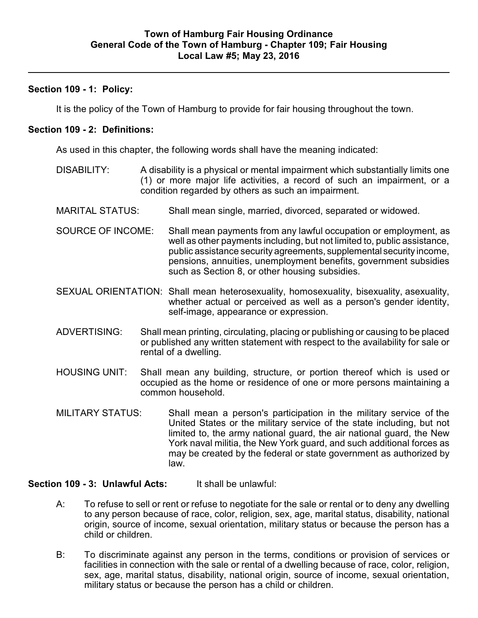### **Section 109 - 1: Policy:**

It is the policy of the Town of Hamburg to provide for fair housing throughout the town.

# **Section 109 - 2: Definitions:**

As used in this chapter, the following words shall have the meaning indicated:

- DISABILITY: A disability is a physical or mental impairment which substantially limits one (1) or more major life activities, a record of such an impairment, or a condition regarded by others as such an impairment.
- MARITAL STATUS: Shall mean single, married, divorced, separated or widowed.
- SOURCE OF INCOME: Shall mean payments from any lawful occupation or employment, as well as other payments including, but not limited to, public assistance, public assistance security agreements, supplemental security income, pensions, annuities, unemployment benefits, government subsidies such as Section 8, or other housing subsidies.
- SEXUAL ORIENTATION: Shall mean heterosexuality, homosexuality, bisexuality, asexuality, whether actual or perceived as well as a person's gender identity, self-image, appearance or expression.
- ADVERTISING: Shall mean printing, circulating, placing or publishing or causing to be placed or published any written statement with respect to the availability for sale or rental of a dwelling.
- HOUSING UNIT: Shall mean any building, structure, or portion thereof which is used or occupied as the home or residence of one or more persons maintaining a common household.
- MILITARY STATUS: Shall mean a person's participation in the military service of the United States or the military service of the state including, but not limited to, the army national guard, the air national guard, the New York naval militia, the New York guard, and such additional forces as may be created by the federal or state government as authorized by law.

# **Section 109 - 3: Unlawful Acts:** It shall be unlawful:

- A: To refuse to sell or rent or refuse to negotiate for the sale or rental or to deny any dwelling to any person because of race, color, religion, sex, age, marital status, disability, national origin, source of income, sexual orientation, military status or because the person has a child or children.
- B: To discriminate against any person in the terms, conditions or provision of services or facilities in connection with the sale or rental of a dwelling because of race, color, religion, sex, age, marital status, disability, national origin, source of income, sexual orientation, military status or because the person has a child or children.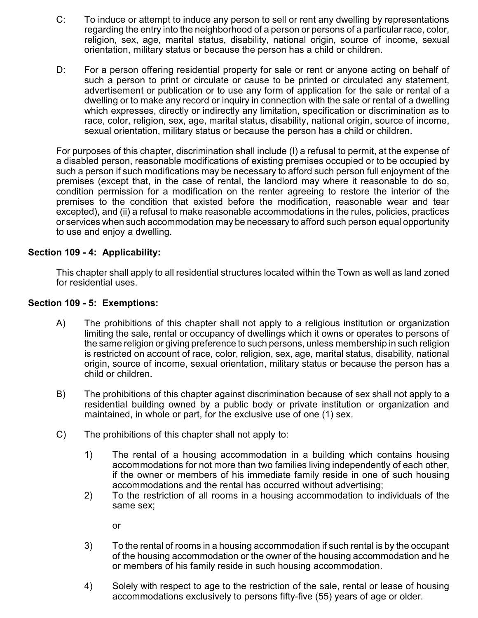- C: To induce or attempt to induce any person to sell or rent any dwelling by representations regarding the entry into the neighborhood of a person or persons of a particular race, color, religion, sex, age, marital status, disability, national origin, source of income, sexual orientation, military status or because the person has a child or children.
- D: For a person offering residential property for sale or rent or anyone acting on behalf of such a person to print or circulate or cause to be printed or circulated any statement, advertisement or publication or to use any form of application for the sale or rental of a dwelling or to make any record or inquiry in connection with the sale or rental of a dwelling which expresses, directly or indirectly any limitation, specification or discrimination as to race, color, religion, sex, age, marital status, disability, national origin, source of income, sexual orientation, military status or because the person has a child or children.

For purposes of this chapter, discrimination shall include (I) a refusal to permit, at the expense of a disabled person, reasonable modifications of existing premises occupied or to be occupied by such a person if such modifications may be necessary to afford such person full enjoyment of the premises (except that, in the case of rental, the landlord may where it reasonable to do so, condition permission for a modification on the renter agreeing to restore the interior of the premises to the condition that existed before the modification, reasonable wear and tear excepted), and (ii) a refusal to make reasonable accommodations in the rules, policies, practices or services when such accommodation may be necessary to afford such person equal opportunity to use and enjoy a dwelling.

#### **Section 109 - 4: Applicability:**

This chapter shall apply to all residential structures located within the Town as well as land zoned for residential uses.

#### **Section 109 - 5: Exemptions:**

- A) The prohibitions of this chapter shall not apply to a religious institution or organization limiting the sale, rental or occupancy of dwellings which it owns or operates to persons of the same religion or giving preference to such persons, unless membership in such religion is restricted on account of race, color, religion, sex, age, marital status, disability, national origin, source of income, sexual orientation, military status or because the person has a child or children.
- B) The prohibitions of this chapter against discrimination because of sex shall not apply to a residential building owned by a public body or private institution or organization and maintained, in whole or part, for the exclusive use of one (1) sex.
- C) The prohibitions of this chapter shall not apply to:
	- 1) The rental of a housing accommodation in a building which contains housing accommodations for not more than two families living independently of each other, if the owner or members of his immediate family reside in one of such housing accommodations and the rental has occurred without advertising;
	- 2) To the restriction of all rooms in a housing accommodation to individuals of the same sex;

or

- 3) To the rental of rooms in a housing accommodation if such rental is by the occupant of the housing accommodation or the owner of the housing accommodation and he or members of his family reside in such housing accommodation.
- 4) Solely with respect to age to the restriction of the sale, rental or lease of housing accommodations exclusively to persons fifty-five (55) years of age or older.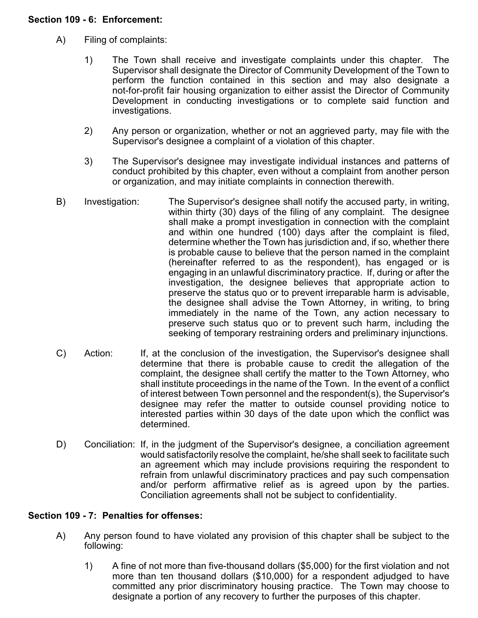# **Section 109 - 6: Enforcement:**

- A) Filing of complaints:
	- 1) The Town shall receive and investigate complaints under this chapter. The Supervisor shall designate the Director of Community Development of the Town to perform the function contained in this section and may also designate a not-for-profit fair housing organization to either assist the Director of Community Development in conducting investigations or to complete said function and investigations.
	- 2) Any person or organization, whether or not an aggrieved party, may file with the Supervisor's designee a complaint of a violation of this chapter.
	- 3) The Supervisor's designee may investigate individual instances and patterns of conduct prohibited by this chapter, even without a complaint from another person or organization, and may initiate complaints in connection therewith.
- B) Investigation: The Supervisor's designee shall notify the accused party, in writing, within thirty (30) days of the filing of any complaint. The designee shall make a prompt investigation in connection with the complaint and within one hundred (100) days after the complaint is filed, determine whether the Town has jurisdiction and, if so, whether there is probable cause to believe that the person named in the complaint (hereinafter referred to as the respondent), has engaged or is engaging in an unlawful discriminatory practice. If, during or after the investigation, the designee believes that appropriate action to preserve the status quo or to prevent irreparable harm is advisable, the designee shall advise the Town Attorney, in writing, to bring immediately in the name of the Town, any action necessary to preserve such status quo or to prevent such harm, including the seeking of temporary restraining orders and preliminary injunctions.
- C) Action: If, at the conclusion of the investigation, the Supervisor's designee shall determine that there is probable cause to credit the allegation of the complaint, the designee shall certify the matter to the Town Attorney, who shall institute proceedings in the name of the Town. In the event of a conflict of interest between Town personnel and the respondent(s), the Supervisor's designee may refer the matter to outside counsel providing notice to interested parties within 30 days of the date upon which the conflict was determined.
- D) Conciliation: If, in the judgment of the Supervisor's designee, a conciliation agreement would satisfactorily resolve the complaint, he/she shall seek to facilitate such an agreement which may include provisions requiring the respondent to refrain from unlawful discriminatory practices and pay such compensation and/or perform affirmative relief as is agreed upon by the parties. Conciliation agreements shall not be subject to confidentiality.

# **Section 109 - 7: Penalties for offenses:**

- A) Any person found to have violated any provision of this chapter shall be subject to the following:
	- 1) A fine of not more than five-thousand dollars (\$5,000) for the first violation and not more than ten thousand dollars (\$10,000) for a respondent adjudged to have committed any prior discriminatory housing practice. The Town may choose to designate a portion of any recovery to further the purposes of this chapter.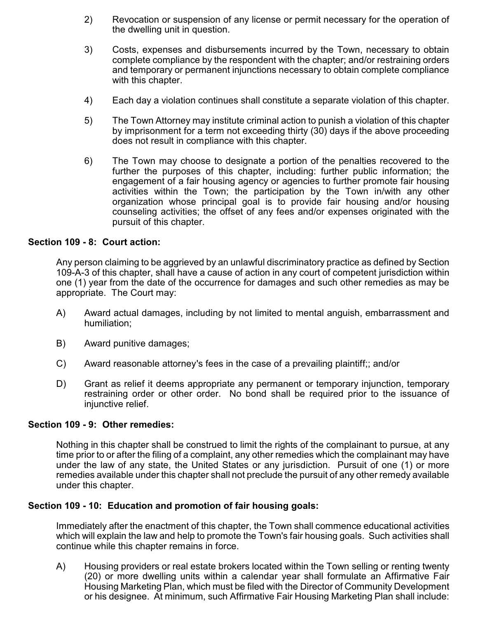- 2) Revocation or suspension of any license or permit necessary for the operation of the dwelling unit in question.
- 3) Costs, expenses and disbursements incurred by the Town, necessary to obtain complete compliance by the respondent with the chapter; and/or restraining orders and temporary or permanent injunctions necessary to obtain complete compliance with this chapter.
- 4) Each day a violation continues shall constitute a separate violation of this chapter.
- 5) The Town Attorney may institute criminal action to punish a violation of this chapter by imprisonment for a term not exceeding thirty (30) days if the above proceeding does not result in compliance with this chapter.
- 6) The Town may choose to designate a portion of the penalties recovered to the further the purposes of this chapter, including: further public information; the engagement of a fair housing agency or agencies to further promote fair housing activities within the Town; the participation by the Town in/with any other organization whose principal goal is to provide fair housing and/or housing counseling activities; the offset of any fees and/or expenses originated with the pursuit of this chapter.

# **Section 109 - 8: Court action:**

Any person claiming to be aggrieved by an unlawful discriminatory practice as defined by Section 109-A-3 of this chapter, shall have a cause of action in any court of competent jurisdiction within one (1) year from the date of the occurrence for damages and such other remedies as may be appropriate. The Court may:

- A) Award actual damages, including by not limited to mental anguish, embarrassment and humiliation;
- B) Award punitive damages;
- C) Award reasonable attorney's fees in the case of a prevailing plaintiff;; and/or
- D) Grant as relief it deems appropriate any permanent or temporary injunction, temporary restraining order or other order. No bond shall be required prior to the issuance of injunctive relief.

#### **Section 109 - 9: Other remedies:**

Nothing in this chapter shall be construed to limit the rights of the complainant to pursue, at any time prior to or after the filing of a complaint, any other remedies which the complainant may have under the law of any state, the United States or any jurisdiction. Pursuit of one (1) or more remedies available under this chapter shall not preclude the pursuit of any other remedy available under this chapter.

#### **Section 109 - 10: Education and promotion of fair housing goals:**

Immediately after the enactment of this chapter, the Town shall commence educational activities which will explain the law and help to promote the Town's fair housing goals. Such activities shall continue while this chapter remains in force.

A) Housing providers or real estate brokers located within the Town selling or renting twenty (20) or more dwelling units within a calendar year shall formulate an Affirmative Fair Housing Marketing Plan, which must be filed with the Director of Community Development or his designee. At minimum, such Affirmative Fair Housing Marketing Plan shall include: